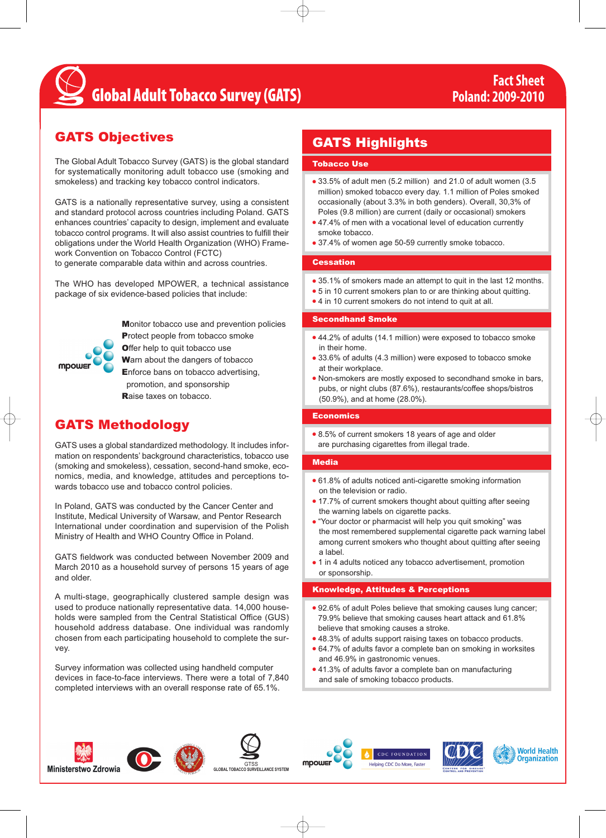## **Global Adult Tobacco Survey (GATS)**

## GATS Objectives

The Global Adult Tobacco Survey (GATS) is the global standard for systematically monitoring adult tobacco use (smoking and smokeless) and tracking key tobacco control indicators.

GATS is a nationally representative survey, using a consistent and standard protocol across countries including Poland. GATS enhances countries' capacity to design, implement and evaluate tobacco control programs. It will also assist countries to fulfill their obligations under the World Health Organization (WHO) Framework Convention on Tobacco Control (FCTC)

to generate comparable data within and across countries.

The WHO has developed MPOWER, a technical assistance package of six evidence-based policies that include:



Monitor tobacco use and prevention policies Protect people from tobacco smoke **Offer help to quit tobacco use** Warn about the dangers of tobacco Enforce bans on tobacco advertising, promotion, and sponsorship Raise taxes on tobacco.

## GATS Methodology

GATS uses a global standardized methodology. It includes information on respondents' background characteristics, tobacco use (smoking and smokeless), cessation, second-hand smoke, economics, media, and knowledge, attitudes and perceptions towards tobacco use and tobacco control policies.

In Poland, GATS was conducted by the Cancer Center and Institute, Medical University of Warsaw, and Pentor Research International under coordination and supervision of the Polish Ministry of Health and WHO Country Office in Poland.

GATS fieldwork was conducted between November 2009 and March 2010 as a household survey of persons 15 years of age and older.

A multi-stage, geographically clustered sample design was used to produce nationally representative data. 14,000 households were sampled from the Central Statistical Office (GUS) household address database. One individual was randomly chosen from each participating household to complete the survey.

Survey information was collected using handheld computer devices in face-to-face interviews. There were a total of 7,840 completed interviews with an overall response rate of 65.1%.

### GATS Highlights

#### Tobacco Use

- 33.5% of adult men (5.2 million) and 21.0 of adult women (3.5 million) smoked tobacco every day. 1.1 million of Poles smoked occasionally (about 3.3% in both genders). Overall, 30,3% of Poles (9.8 million) are current (daily or occasional) smokers
- 47.4% of men with a vocational level of education currently smoke tobacco.
- 37.4% of women age 50-59 currently smoke tobacco.

#### **Cessation**

- 35.1% of smokers made an attempt to quit in the last 12 months.
- 5 in 10 current smokers plan to or are thinking about quitting.
- 4 in 10 current smokers do not intend to quit at all.

#### Secondhand Smoke

- 44.2% of adults (14.1 million) were exposed to tobacco smoke in their home.
- 33.6% of adults (4.3 million) were exposed to tobacco smoke at their workplace.
- Non-smokers are mostly exposed to secondhand smoke in bars, pubs, or night clubs (87.6%), restaurants/coffee shops/bistros (50.9%), and at home (28.0%).

#### **Economics**

● 8.5% of current smokers 18 years of age and older are purchasing cigarettes from illegal trade.

#### Media

- 61.8% of adults noticed anti-cigarette smoking information on the television or radio.
- 17.7% of current smokers thought about quitting after seeing the warning labels on cigarette packs.
- "Your doctor or pharmacist will help you quit smoking" was the most remembered supplemental cigarette pack warning label among current smokers who thought about quitting after seeing a label.
- 1 in 4 adults noticed any tobacco advertisement, promotion or sponsorship.

#### Knowledge, Attitudes & Perceptions

- 92.6% of adult Poles believe that smoking causes lung cancer; 79.9% believe that smoking causes heart attack and 61.8% believe that smoking causes a stroke.
- 48.3% of adults support raising taxes on tobacco products.
- 64.7% of adults favor a complete ban on smoking in worksites and 46.9% in gastronomic venues.
- 41.3% of adults favor a complete ban on manufacturing and sale of smoking tobacco products.















**GLOBAL TOBACCO SURVEILLANCE SYSTEM**